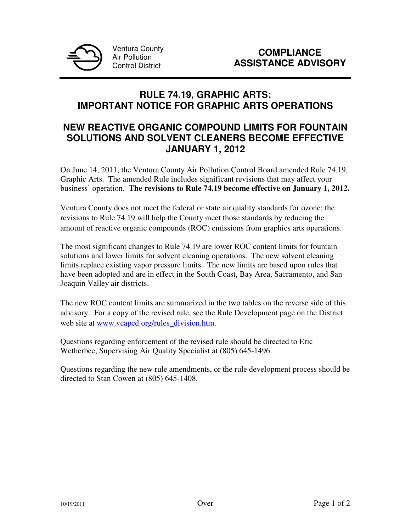

## **RULE 74.19, GRAPHIC ARTS: IMPORTANT NOTICE FOR GRAPHIC ARTS OPERATIONS**

## **NEW REACTIVE ORGANIC COMPOUND LIMITS FOR FOUNTAIN SOLUTIONS AND SOLVENT CLEANERS BECOME EFFECTIVE JANUARY 1, 2012**

On June 14, 2011, the Ventura County Air Pollution Control Board amended Rule 74.19, Graphic Arts. The amended Rule includes significant revisions that may affect your business' operation. **The revisions to Rule 74.19 become effective on January 1, 2012.**

Ventura County does not meet the federal or state air quality standards for ozone; the revisions to Rule 74.19 will help the County meet those standards by reducing the amount of reactive organic compounds (ROC) emissions from graphics arts operations.

The most significant changes to Rule 74.19 are lower ROC content limits for fountain solutions and lower limits for solvent cleaning operations. The new solvent cleaning limits replace existing vapor pressure limits. The new limits are based upon rules that have been adopted and are in effect in the South Coast, Bay Area, Sacramento, and San Joaquin Valley air districts.

The new ROC content limits are summarized in the two tables on the reverse side of this advisory. For a copy of the revised rule, see the Rule Development page on the District web site at www.vcapcd.org/rules\_division.htm.

Questions regarding enforcement of the revised rule should be directed to Eric Wetherbee, Supervising Air Quality Specialist at (805) 645-1496.

Questions regarding the new rule amendments, or the rule development process should be directed to Stan Cowen at (805) 645-1408.